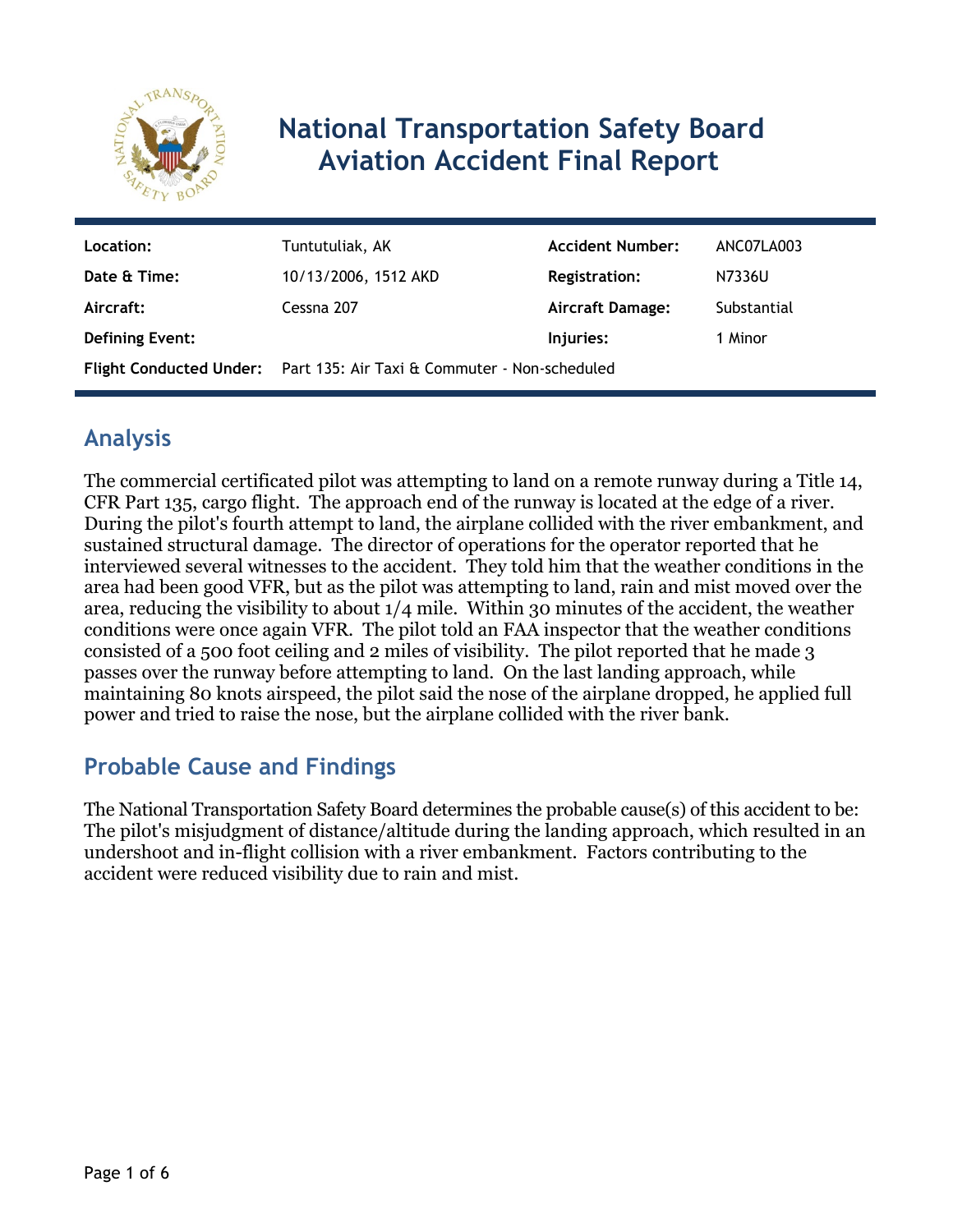

# **National Transportation Safety Board Aviation Accident Final Report**

| Location:              | Tuntutuliak, AK                                                       | <b>Accident Number:</b> | ANC07LA003  |
|------------------------|-----------------------------------------------------------------------|-------------------------|-------------|
| Date & Time:           | 10/13/2006, 1512 AKD                                                  | <b>Registration:</b>    | N7336U      |
| Aircraft:              | Cessna 207                                                            | Aircraft Damage:        | Substantial |
| <b>Defining Event:</b> |                                                                       | Injuries:               | 1 Minor     |
|                        | Flight Conducted Under: Part 135: Air Taxi & Commuter - Non-scheduled |                         |             |

## **Analysis**

The commercial certificated pilot was attempting to land on a remote runway during a Title 14, CFR Part 135, cargo flight. The approach end of the runway is located at the edge of a river. During the pilot's fourth attempt to land, the airplane collided with the river embankment, and sustained structural damage. The director of operations for the operator reported that he interviewed several witnesses to the accident. They told him that the weather conditions in the area had been good VFR, but as the pilot was attempting to land, rain and mist moved over the area, reducing the visibility to about 1/4 mile. Within 30 minutes of the accident, the weather conditions were once again VFR. The pilot told an FAA inspector that the weather conditions consisted of a 500 foot ceiling and 2 miles of visibility. The pilot reported that he made 3 passes over the runway before attempting to land. On the last landing approach, while maintaining 80 knots airspeed, the pilot said the nose of the airplane dropped, he applied full power and tried to raise the nose, but the airplane collided with the river bank.

### **Probable Cause and Findings**

The National Transportation Safety Board determines the probable cause(s) of this accident to be: The pilot's misjudgment of distance/altitude during the landing approach, which resulted in an undershoot and in-flight collision with a river embankment. Factors contributing to the accident were reduced visibility due to rain and mist.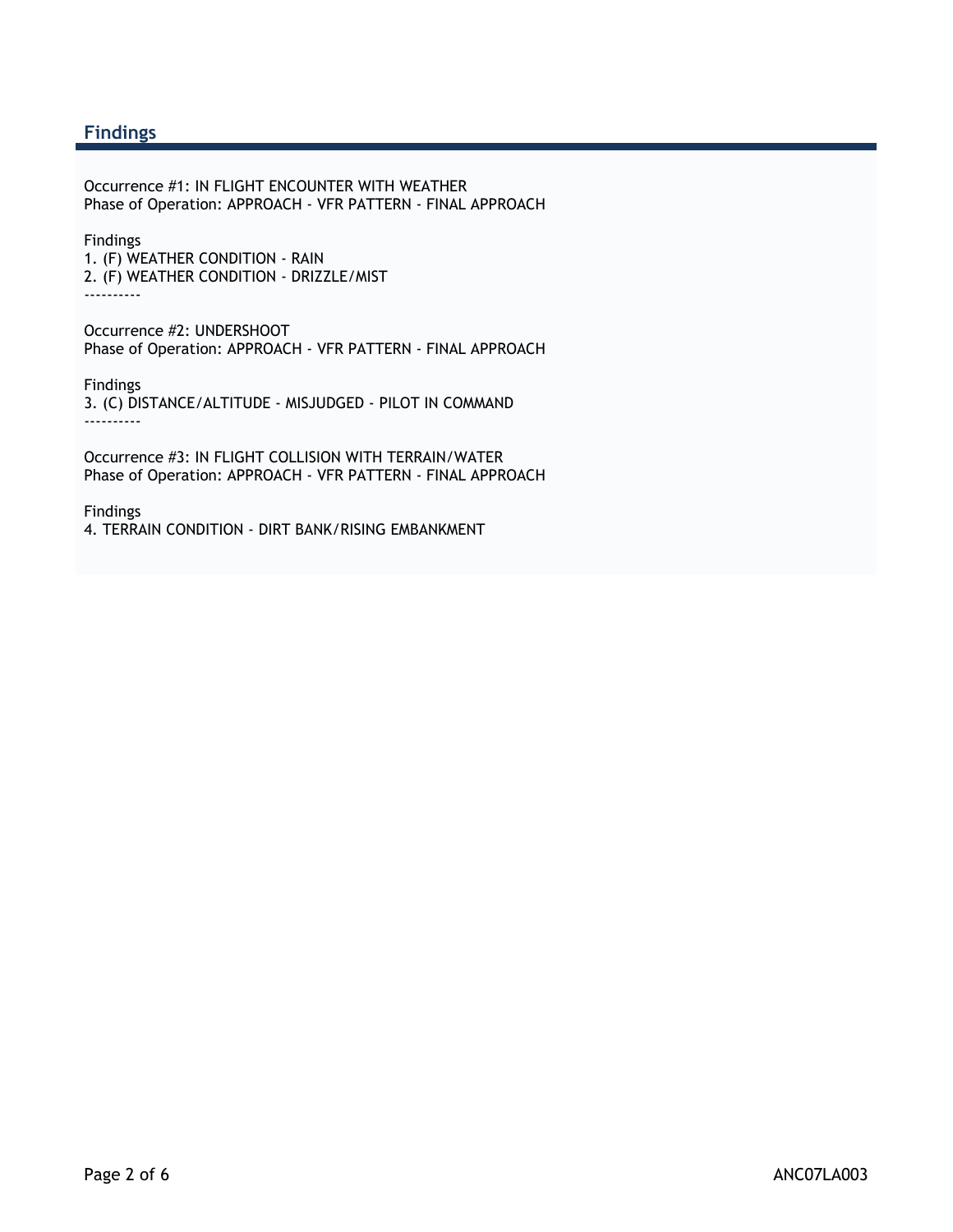#### **Findings**

Occurrence #1: IN FLIGHT ENCOUNTER WITH WEATHER Phase of Operation: APPROACH - VFR PATTERN - FINAL APPROACH

Findings

1. (F) WEATHER CONDITION - RAIN 2. (F) WEATHER CONDITION - DRIZZLE/MIST ----------

Occurrence #2: UNDERSHOOT Phase of Operation: APPROACH - VFR PATTERN - FINAL APPROACH

Findings 3. (C) DISTANCE/ALTITUDE - MISJUDGED - PILOT IN COMMAND ----------

Occurrence #3: IN FLIGHT COLLISION WITH TERRAIN/WATER Phase of Operation: APPROACH - VFR PATTERN - FINAL APPROACH

Findings 4. TERRAIN CONDITION - DIRT BANK/RISING EMBANKMENT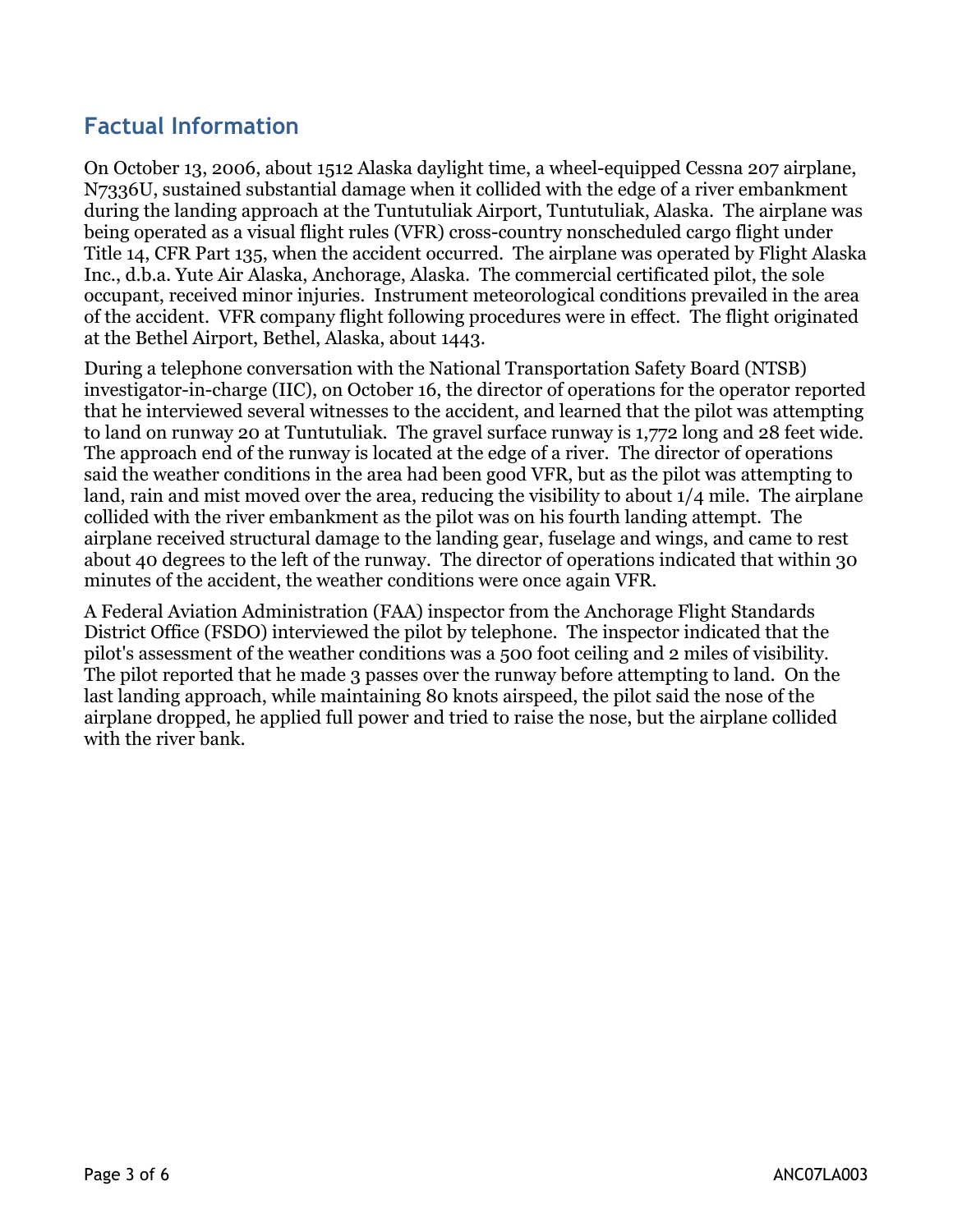### **Factual Information**

On October 13, 2006, about 1512 Alaska daylight time, a wheel-equipped Cessna 207 airplane, N7336U, sustained substantial damage when it collided with the edge of a river embankment during the landing approach at the Tuntutuliak Airport, Tuntutuliak, Alaska. The airplane was being operated as a visual flight rules (VFR) cross-country nonscheduled cargo flight under Title 14, CFR Part 135, when the accident occurred. The airplane was operated by Flight Alaska Inc., d.b.a. Yute Air Alaska, Anchorage, Alaska. The commercial certificated pilot, the sole occupant, received minor injuries. Instrument meteorological conditions prevailed in the area of the accident. VFR company flight following procedures were in effect. The flight originated at the Bethel Airport, Bethel, Alaska, about 1443.

During a telephone conversation with the National Transportation Safety Board (NTSB) investigator-in-charge (IIC), on October 16, the director of operations for the operator reported that he interviewed several witnesses to the accident, and learned that the pilot was attempting to land on runway 20 at Tuntutuliak. The gravel surface runway is 1,772 long and 28 feet wide. The approach end of the runway is located at the edge of a river. The director of operations said the weather conditions in the area had been good VFR, but as the pilot was attempting to land, rain and mist moved over the area, reducing the visibility to about 1/4 mile. The airplane collided with the river embankment as the pilot was on his fourth landing attempt. The airplane received structural damage to the landing gear, fuselage and wings, and came to rest about 40 degrees to the left of the runway. The director of operations indicated that within 30 minutes of the accident, the weather conditions were once again VFR.

A Federal Aviation Administration (FAA) inspector from the Anchorage Flight Standards District Office (FSDO) interviewed the pilot by telephone. The inspector indicated that the pilot's assessment of the weather conditions was a 500 foot ceiling and 2 miles of visibility. The pilot reported that he made 3 passes over the runway before attempting to land. On the last landing approach, while maintaining 80 knots airspeed, the pilot said the nose of the airplane dropped, he applied full power and tried to raise the nose, but the airplane collided with the river bank.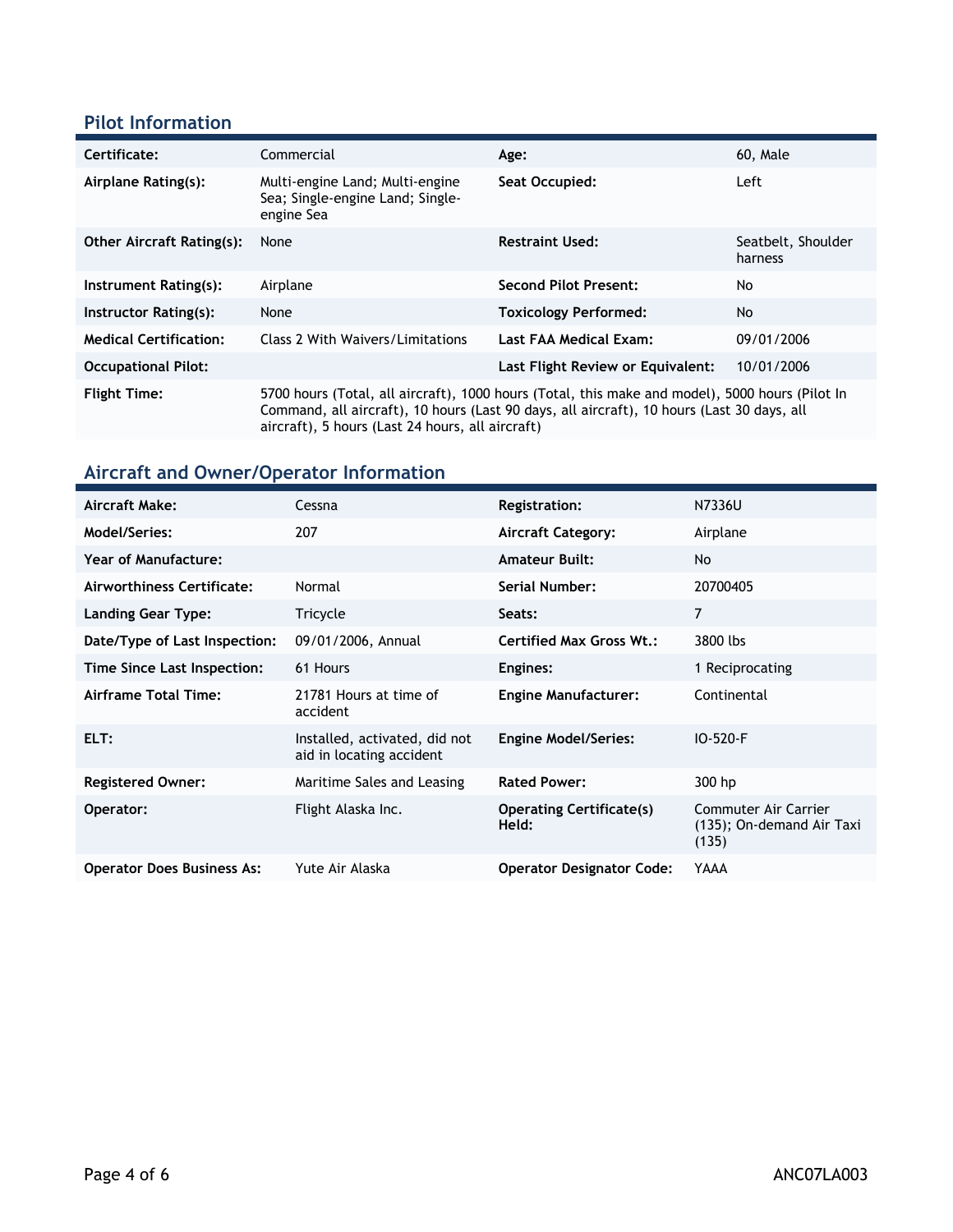#### **Pilot Information**

| Certificate:                     | Commercial                                                                                                                                                                                                                                        | Age:                              | 60, Male                      |
|----------------------------------|---------------------------------------------------------------------------------------------------------------------------------------------------------------------------------------------------------------------------------------------------|-----------------------------------|-------------------------------|
| Airplane Rating(s):              | Multi-engine Land; Multi-engine<br>Sea: Single-engine Land: Single-<br>engine Sea                                                                                                                                                                 | Seat Occupied:                    | Left                          |
| <b>Other Aircraft Rating(s):</b> | None                                                                                                                                                                                                                                              | <b>Restraint Used:</b>            | Seatbelt, Shoulder<br>harness |
| Instrument Rating(s):            | Airplane                                                                                                                                                                                                                                          | <b>Second Pilot Present:</b>      | No                            |
| Instructor Rating(s):            | None                                                                                                                                                                                                                                              | <b>Toxicology Performed:</b>      | <b>No</b>                     |
| <b>Medical Certification:</b>    | Class 2 With Waivers/Limitations                                                                                                                                                                                                                  | Last FAA Medical Exam:            | 09/01/2006                    |
| <b>Occupational Pilot:</b>       |                                                                                                                                                                                                                                                   | Last Flight Review or Equivalent: | 10/01/2006                    |
| <b>Flight Time:</b>              | 5700 hours (Total, all aircraft), 1000 hours (Total, this make and model), 5000 hours (Pilot In<br>Command, all aircraft), 10 hours (Last 90 days, all aircraft), 10 hours (Last 30 days, all<br>aircraft), 5 hours (Last 24 hours, all aircraft) |                                   |                               |

## **Aircraft and Owner/Operator Information**

| Aircraft Make:                    | Cessna                                                    | <b>Registration:</b>                     | N7336U                                                     |
|-----------------------------------|-----------------------------------------------------------|------------------------------------------|------------------------------------------------------------|
| Model/Series:                     | 207                                                       | <b>Aircraft Category:</b>                | Airplane                                                   |
| <b>Year of Manufacture:</b>       |                                                           | <b>Amateur Built:</b>                    | <b>No</b>                                                  |
| Airworthiness Certificate:        | Normal                                                    | Serial Number:                           | 20700405                                                   |
| Landing Gear Type:                | Tricycle                                                  | Seats:                                   | 7                                                          |
| Date/Type of Last Inspection:     | 09/01/2006, Annual                                        | <b>Certified Max Gross Wt.:</b>          | 3800 lbs                                                   |
| Time Since Last Inspection:       | 61 Hours                                                  | Engines:                                 | 1 Reciprocating                                            |
| Airframe Total Time:              | 21781 Hours at time of<br>accident                        | <b>Engine Manufacturer:</b>              | Continental                                                |
| ELT:                              | Installed, activated, did not<br>aid in locating accident | <b>Engine Model/Series:</b>              | IO-520-F                                                   |
| <b>Registered Owner:</b>          | Maritime Sales and Leasing                                | <b>Rated Power:</b>                      | 300 hp                                                     |
| Operator:                         | Flight Alaska Inc.                                        | <b>Operating Certificate(s)</b><br>Held: | Commuter Air Carrier<br>(135); On-demand Air Taxi<br>(135) |
| <b>Operator Does Business As:</b> | Yute Air Alaska                                           | <b>Operator Designator Code:</b>         | YAAA                                                       |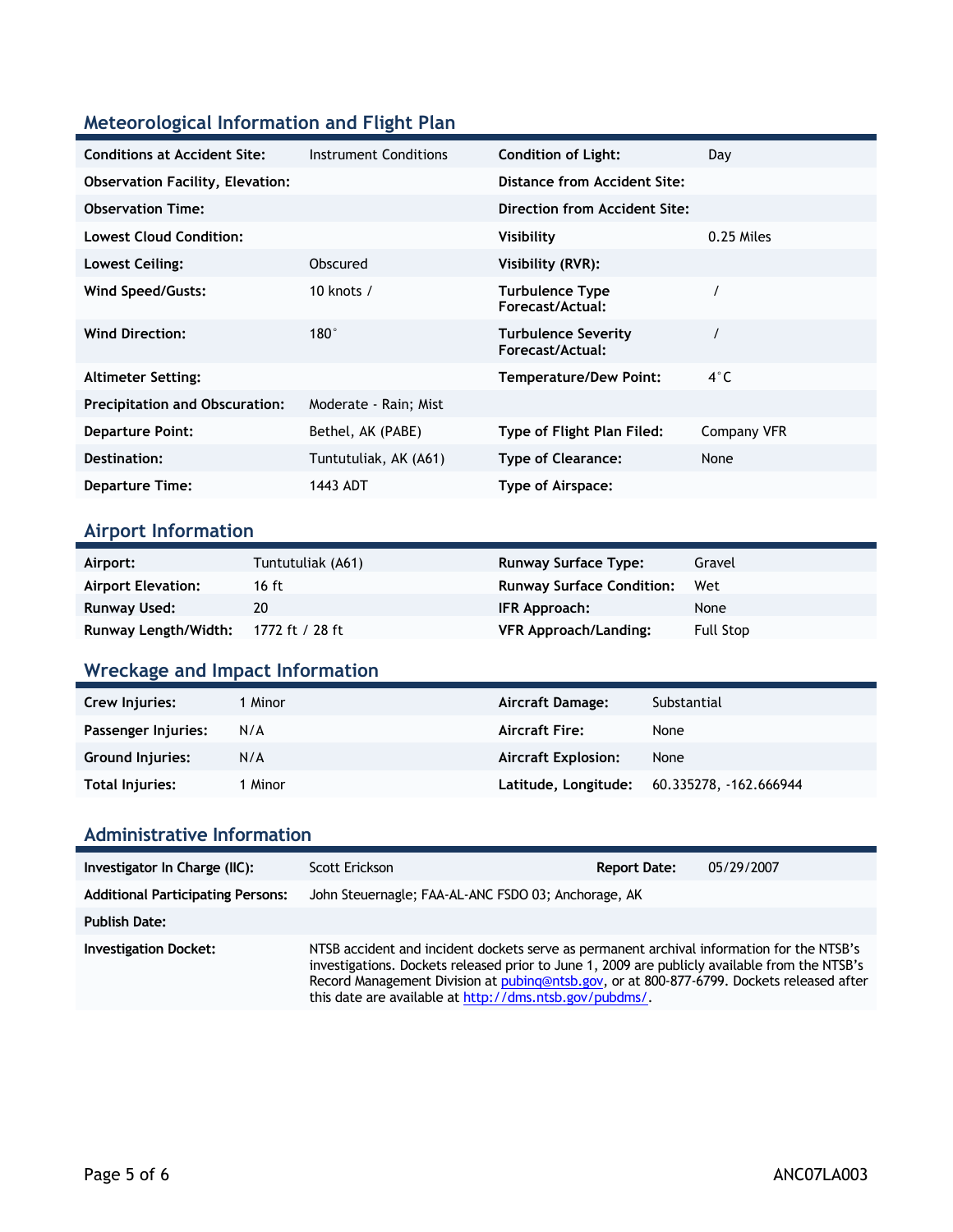#### **Meteorological Information and Flight Plan**

| <b>Conditions at Accident Site:</b>     | Instrument Conditions | <b>Condition of Light:</b>                 | Day         |
|-----------------------------------------|-----------------------|--------------------------------------------|-------------|
| <b>Observation Facility, Elevation:</b> |                       | Distance from Accident Site:               |             |
| <b>Observation Time:</b>                |                       | Direction from Accident Site:              |             |
| <b>Lowest Cloud Condition:</b>          |                       | Visibility                                 | 0.25 Miles  |
| Lowest Ceiling:                         | Obscured              | Visibility (RVR):                          |             |
| Wind Speed/Gusts:                       | 10 knots $/$          | <b>Turbulence Type</b><br>Forecast/Actual: |             |
| <b>Wind Direction:</b>                  | $180^\circ$           | Turbulence Severity<br>Forecast/Actual:    |             |
| <b>Altimeter Setting:</b>               |                       | <b>Temperature/Dew Point:</b>              | $4^\circ$ C |
| <b>Precipitation and Obscuration:</b>   | Moderate - Rain; Mist |                                            |             |
| <b>Departure Point:</b>                 | Bethel, AK (PABE)     | Type of Flight Plan Filed:                 | Company VFR |
| Destination:                            | Tuntutuliak, AK (A61) | <b>Type of Clearance:</b>                  | None        |
| <b>Departure Time:</b>                  | 1443 ADT              | Type of Airspace:                          |             |

#### **Airport Information**

| Airport:                  | Tuntutuliak (A61) | <b>Runway Surface Type:</b>      | Gravel    |
|---------------------------|-------------------|----------------------------------|-----------|
| <b>Airport Elevation:</b> | 16 ft             | <b>Runway Surface Condition:</b> | Wet       |
| Runway Used:              | 20                | IFR Approach:                    | None      |
| Runway Length/Width:      | 1772 ft / 28 ft   | <b>VFR Approach/Landing:</b>     | Full Stop |

## **Wreckage and Impact Information**

| Crew Injuries:      | 1 Minor | Aircraft Damage:           | Substantial            |
|---------------------|---------|----------------------------|------------------------|
| Passenger Injuries: | N/A     | <b>Aircraft Fire:</b>      | None                   |
| Ground Injuries:    | N/A     | <b>Aircraft Explosion:</b> | None                   |
| Total Injuries:     | 1 Minor | Latitude, Longitude:       | 60.335278, -162.666944 |

#### **Administrative Information**

| Investigator In Charge (IIC):            | Scott Erickson                                                                                                                                                                                                                                                                                                                                     | <b>Report Date:</b> | 05/29/2007 |
|------------------------------------------|----------------------------------------------------------------------------------------------------------------------------------------------------------------------------------------------------------------------------------------------------------------------------------------------------------------------------------------------------|---------------------|------------|
| <b>Additional Participating Persons:</b> | John Steuernagle; FAA-AL-ANC FSDO 03; Anchorage, AK                                                                                                                                                                                                                                                                                                |                     |            |
| <b>Publish Date:</b>                     |                                                                                                                                                                                                                                                                                                                                                    |                     |            |
| <b>Investigation Docket:</b>             | NTSB accident and incident dockets serve as permanent archival information for the NTSB's<br>investigations. Dockets released prior to June 1, 2009 are publicly available from the NTSB's<br>Record Management Division at pubing@ntsb.gov, or at 800-877-6799. Dockets released after<br>this date are available at http://dms.ntsb.gov/pubdms/. |                     |            |